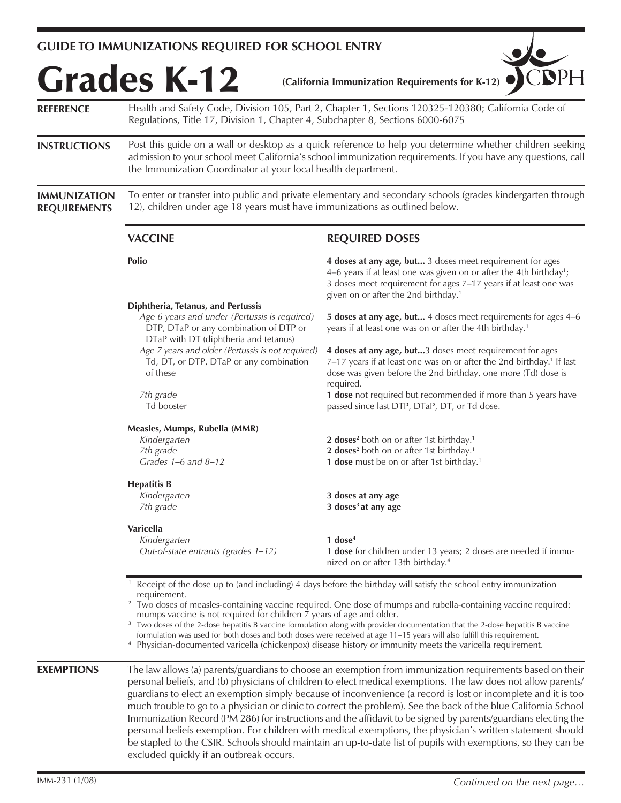## **GUIDE TO IMMUNIZATIONS REQUIRED FOR SCHOOL ENTRY**

excluded quickly if an outbreak occurs.

| <b>REFERENCE</b>                           | Health and Safety Code, Division 105, Part 2, Chapter 1, Sections 120325-120380; California Code of<br>Regulations, Title 17, Division 1, Chapter 4, Subchapter 8, Sections 6000-6075                                                                                                                                                                                                                                                                                                                                                                                                                                                                                                                                                  |                                                                                                                                                                                                                                                                      |  |
|--------------------------------------------|----------------------------------------------------------------------------------------------------------------------------------------------------------------------------------------------------------------------------------------------------------------------------------------------------------------------------------------------------------------------------------------------------------------------------------------------------------------------------------------------------------------------------------------------------------------------------------------------------------------------------------------------------------------------------------------------------------------------------------------|----------------------------------------------------------------------------------------------------------------------------------------------------------------------------------------------------------------------------------------------------------------------|--|
| <b>INSTRUCTIONS</b>                        | Post this guide on a wall or desktop as a quick reference to help you determine whether children seeking<br>admission to your school meet California's school immunization requirements. If you have any questions, call<br>the Immunization Coordinator at your local health department.                                                                                                                                                                                                                                                                                                                                                                                                                                              |                                                                                                                                                                                                                                                                      |  |
| <b>IMMUNIZATION</b><br><b>REQUIREMENTS</b> | To enter or transfer into public and private elementary and secondary schools (grades kindergarten through<br>12), children under age 18 years must have immunizations as outlined below.                                                                                                                                                                                                                                                                                                                                                                                                                                                                                                                                              |                                                                                                                                                                                                                                                                      |  |
|                                            | <b>VACCINE</b>                                                                                                                                                                                                                                                                                                                                                                                                                                                                                                                                                                                                                                                                                                                         | <b>REQUIRED DOSES</b>                                                                                                                                                                                                                                                |  |
|                                            | Polio                                                                                                                                                                                                                                                                                                                                                                                                                                                                                                                                                                                                                                                                                                                                  | 4 doses at any age, but 3 doses meet requirement for ages<br>4–6 years if at least one was given on or after the 4th birthday <sup>1</sup> ;<br>3 doses meet requirement for ages 7-17 years if at least one was<br>given on or after the 2nd birthday. <sup>1</sup> |  |
|                                            | Diphtheria, Tetanus, and Pertussis<br>Age 6 years and under (Pertussis is required)<br>DTP, DTaP or any combination of DTP or<br>DTaP with DT (diphtheria and tetanus)                                                                                                                                                                                                                                                                                                                                                                                                                                                                                                                                                                 | 5 doses at any age, but 4 doses meet requirements for ages 4-6<br>years if at least one was on or after the 4th birthday. <sup>1</sup>                                                                                                                               |  |
|                                            | Age 7 years and older (Pertussis is not required)<br>Td, DT, or DTP, DTaP or any combination<br>of these                                                                                                                                                                                                                                                                                                                                                                                                                                                                                                                                                                                                                               | 4 doses at any age, but3 doses meet requirement for ages<br>7-17 years if at least one was on or after the 2nd birthday. <sup>1</sup> If last<br>dose was given before the 2nd birthday, one more (Td) dose is<br>required.                                          |  |
|                                            | 7th grade<br>Td booster                                                                                                                                                                                                                                                                                                                                                                                                                                                                                                                                                                                                                                                                                                                | 1 dose not required but recommended if more than 5 years have<br>passed since last DTP, DTaP, DT, or Td dose.                                                                                                                                                        |  |
|                                            | Measles, Mumps, Rubella (MMR)                                                                                                                                                                                                                                                                                                                                                                                                                                                                                                                                                                                                                                                                                                          |                                                                                                                                                                                                                                                                      |  |
|                                            | Kindergarten<br>7th grade<br>Grades $1-6$ and $8-12$                                                                                                                                                                                                                                                                                                                                                                                                                                                                                                                                                                                                                                                                                   | 2 doses <sup>2</sup> both on or after 1st birthday. <sup>1</sup><br>2 doses <sup>2</sup> both on or after 1st birthday. <sup>1</sup><br>1 dose must be on or after 1st birthday. <sup>1</sup>                                                                        |  |
|                                            | <b>Hepatitis B</b><br>Kindergarten<br>7th grade                                                                                                                                                                                                                                                                                                                                                                                                                                                                                                                                                                                                                                                                                        | 3 doses at any age<br>3 doses <sup>3</sup> at any age                                                                                                                                                                                                                |  |
|                                            | Varicella<br>Kindergarten<br>Out-of-state entrants (grades 1-12)                                                                                                                                                                                                                                                                                                                                                                                                                                                                                                                                                                                                                                                                       | $1$ dose <sup>4</sup><br><b>1 dose</b> for children under 13 years; 2 doses are needed if immu-<br>nized on or after 13th birthday. <sup>4</sup>                                                                                                                     |  |
|                                            | Receipt of the dose up to (and including) 4 days before the birthday will satisfy the school entry immunization<br>requirement.<br><sup>2</sup> Two doses of measles-containing vaccine required. One dose of mumps and rubella-containing vaccine required;<br>mumps vaccine is not required for children 7 years of age and older.<br><sup>3</sup> Two doses of the 2-dose hepatitis B vaccine formulation along with provider documentation that the 2-dose hepatitis B vaccine<br>formulation was used for both doses and both doses were received at age 11-15 years will also fulfill this requirement.<br><sup>4</sup> Physician-documented varicella (chickenpox) disease history or immunity meets the varicella requirement. |                                                                                                                                                                                                                                                                      |  |
| <b>EXEMPTIONS</b>                          | The law allows (a) parents/guardians to choose an exemption from immunization requirements based on their<br>personal beliefs, and (b) physicians of children to elect medical exemptions. The law does not allow parents/<br>guardians to elect an exemption simply because of inconvenience (a record is lost or incomplete and it is too<br>much trouble to go to a physician or clinic to correct the problem). See the back of the blue California School<br>Immunization Record (PM 286) for instructions and the affidavit to be signed by parents/guardians electing the<br>personal beliefs exemption. For children with medical exemptions, the physician's written statement should                                         |                                                                                                                                                                                                                                                                      |  |

be stapled to the CSIR. Schools should maintain an up-to-date list of pupils with exemptions, so they can be

 $\overline{\phantom{a}}$